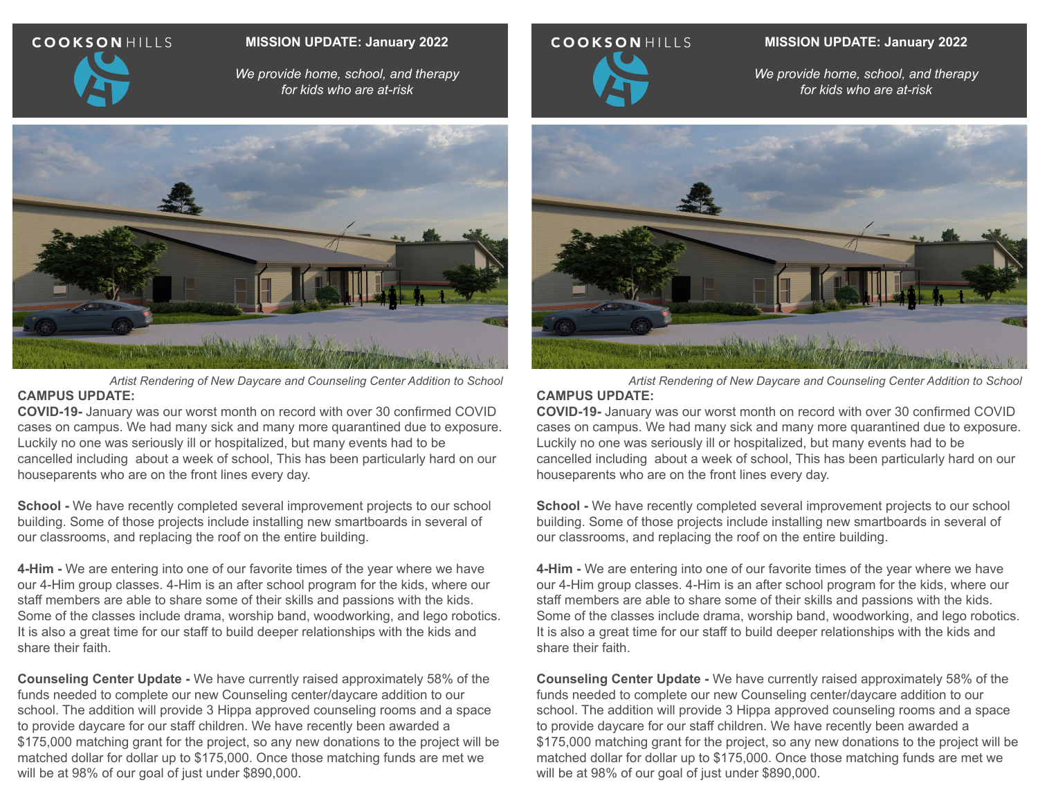### **COOKSONHILLS**

#### **MISSION UPDATE: January 2022**

*We provide home, school, and therapy for kids who are at-risk*



*Artist Rendering of New Daycare and Counseling Center Addition to School* **CAMPUS UPDATE:**

**COVID-19-** January was our worst month on record with over 30 confirmed COVID cases on campus. We had many sick and many more quarantined due to exposure. Luckily no one was seriously ill or hospitalized, but many events had to be cancelled including about a week of school, This has been particularly hard on our houseparents who are on the front lines every day.

**School -** We have recently completed several improvement projects to our school building. Some of those projects include installing new smartboards in several of our classrooms, and replacing the roof on the entire building.

**4-Him -** We are entering into one of our favorite times of the year where we have our 4-Him group classes. 4-Him is an after school program for the kids, where our staff members are able to share some of their skills and passions with the kids. Some of the classes include drama, worship band, woodworking, and lego robotics. It is also a great time for our staff to build deeper relationships with the kids and share their faith.

**Counseling Center Update -** We have currently raised approximately 58% of the funds needed to complete our new Counseling center/daycare addition to our school. The addition will provide 3 Hippa approved counseling rooms and a space to provide daycare for our staff children. We have recently been awarded a \$175,000 matching grant for the project, so any new donations to the project will be matched dollar for dollar up to \$175,000. Once those matching funds are met we will be at 98% of our goal of just under \$890,000.



**MISSION UPDATE: January 2022**

*We provide home, school, and therapy for kids who are at-risk*



*Artist Rendering of New Daycare and Counseling Center Addition to School* **CAMPUS UPDATE:**

**COVID-19-** January was our worst month on record with over 30 confirmed COVID cases on campus. We had many sick and many more quarantined due to exposure. Luckily no one was seriously ill or hospitalized, but many events had to be cancelled including about a week of school, This has been particularly hard on our houseparents who are on the front lines every day.

**School -** We have recently completed several improvement projects to our school building. Some of those projects include installing new smartboards in several of our classrooms, and replacing the roof on the entire building.

**4-Him -** We are entering into one of our favorite times of the year where we have our 4-Him group classes. 4-Him is an after school program for the kids, where our staff members are able to share some of their skills and passions with the kids. Some of the classes include drama, worship band, woodworking, and lego robotics. It is also a great time for our staff to build deeper relationships with the kids and share their faith.

**Counseling Center Update -** We have currently raised approximately 58% of the funds needed to complete our new Counseling center/daycare addition to our school. The addition will provide 3 Hippa approved counseling rooms and a space to provide daycare for our staff children. We have recently been awarded a \$175,000 matching grant for the project, so any new donations to the project will be matched dollar for dollar up to \$175,000. Once those matching funds are met we will be at 98% of our goal of just under \$890,000.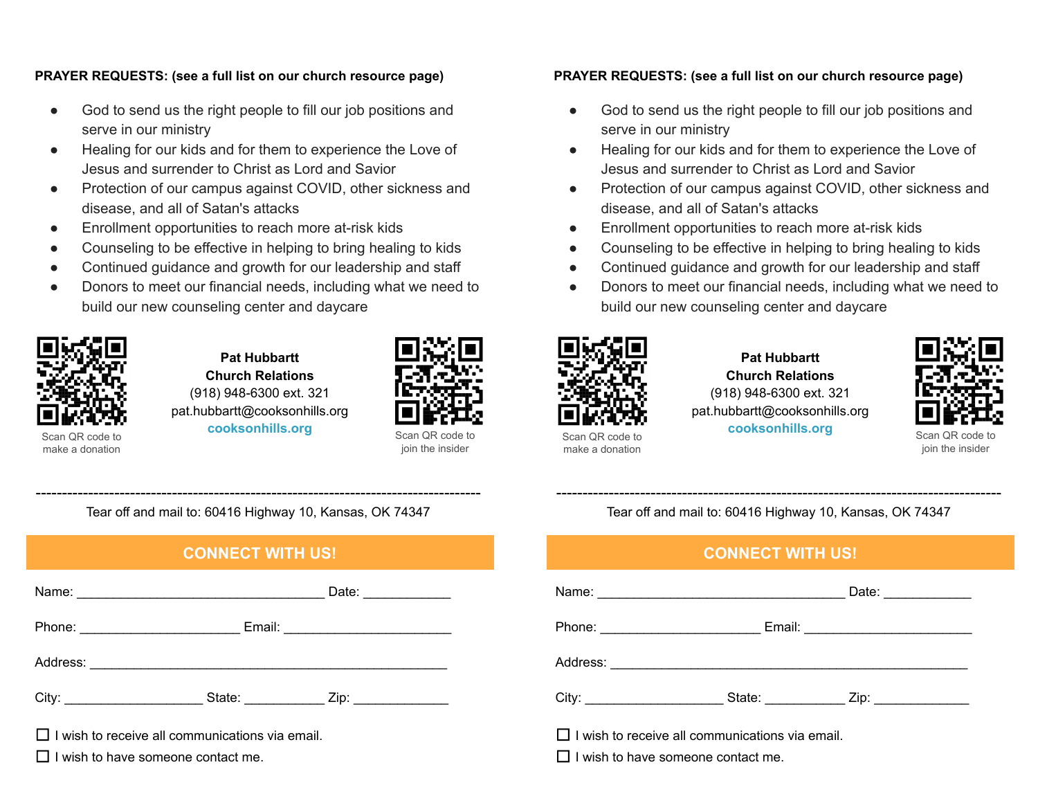#### **PRAYER REQUESTS: (see a full list on our church resource page)**

- God to send us the right people to fill our job positions and serve in our ministry
- Healing for our kids and for them to experience the Love of Jesus and surrender to Christ as Lord and Savior
- Protection of our campus against COVID, other sickness and disease, and all of Satan's attacks
- Enrollment opportunities to reach more at-risk kids
- Counseling to be effective in helping to bring healing to kids
- Continued guidance and growth for our leadership and staff
- Donors to meet our financial needs, including what we need to build our new counseling center and daycare



**Pat Hubbartt Church Relations** (918) 948-6300 ext. 321 pat.hubbartt@cooksonhills.org **cooksonhills.org**



join the insider

#### **PRAYER REQUESTS: (see a full list on our church resource page)**

- God to send us the right people to fill our job positions and serve in our ministry
- Healing for our kids and for them to experience the Love of Jesus and surrender to Christ as Lord and Savior
- Protection of our campus against COVID, other sickness and disease, and all of Satan's attacks
- Enrollment opportunities to reach more at-risk kids
- Counseling to be effective in helping to bring healing to kids
- Continued guidance and growth for our leadership and staff
- Donors to meet our financial needs, including what we need to build our new counseling center and daycare



make a donation

**Pat Hubbartt Church Relations** (918) 948-6300 ext. 321 pat.hubbartt@cooksonhills.org **cooksonhills.org**



Scan QR code to join the insider

------------------------------------------------------------------------------------- Tear off and mail to: 60416 Highway 10, Kansas, OK 74347

## **CONNECT WITH US!**

|                                                                                  | Date: $\frac{1}{\sqrt{1-\frac{1}{2}}\sqrt{1-\frac{1}{2}}\sqrt{1-\frac{1}{2}}\sqrt{1-\frac{1}{2}}\sqrt{1-\frac{1}{2}}\sqrt{1-\frac{1}{2}}\sqrt{1-\frac{1}{2}}\sqrt{1-\frac{1}{2}}\sqrt{1-\frac{1}{2}}\sqrt{1-\frac{1}{2}}\sqrt{1-\frac{1}{2}}\sqrt{1-\frac{1}{2}}\sqrt{1-\frac{1}{2}}\sqrt{1-\frac{1}{2}}\sqrt{1-\frac{1}{2}}\sqrt{1-\frac{1}{2}}\sqrt{1-\frac{1}{2}}\sqrt{1-\frac{1}{2}}\sqrt{1-\frac{1}{2}}$ |  |  |
|----------------------------------------------------------------------------------|---------------------------------------------------------------------------------------------------------------------------------------------------------------------------------------------------------------------------------------------------------------------------------------------------------------------------------------------------------------------------------------------------------------|--|--|
|                                                                                  |                                                                                                                                                                                                                                                                                                                                                                                                               |  |  |
|                                                                                  |                                                                                                                                                                                                                                                                                                                                                                                                               |  |  |
| City: ____________________________State: ____________________Zip: ______________ |                                                                                                                                                                                                                                                                                                                                                                                                               |  |  |
| $\Box$ I wish to receive all communications via email.                           |                                                                                                                                                                                                                                                                                                                                                                                                               |  |  |

 $\Box$  I wish to have someone contact me.

------------------------------------------------------------------------------------- Tear off and mail to: 60416 Highway 10, Kansas, OK 74347

## **CONNECT WITH US!**

|                                                        |  | Date: $\qquad \qquad$ |  |
|--------------------------------------------------------|--|-----------------------|--|
|                                                        |  |                       |  |
|                                                        |  |                       |  |
|                                                        |  |                       |  |
| $\Box$ I wish to receive all communications via email. |  |                       |  |

 $\Box$  I wish to have someone contact me.